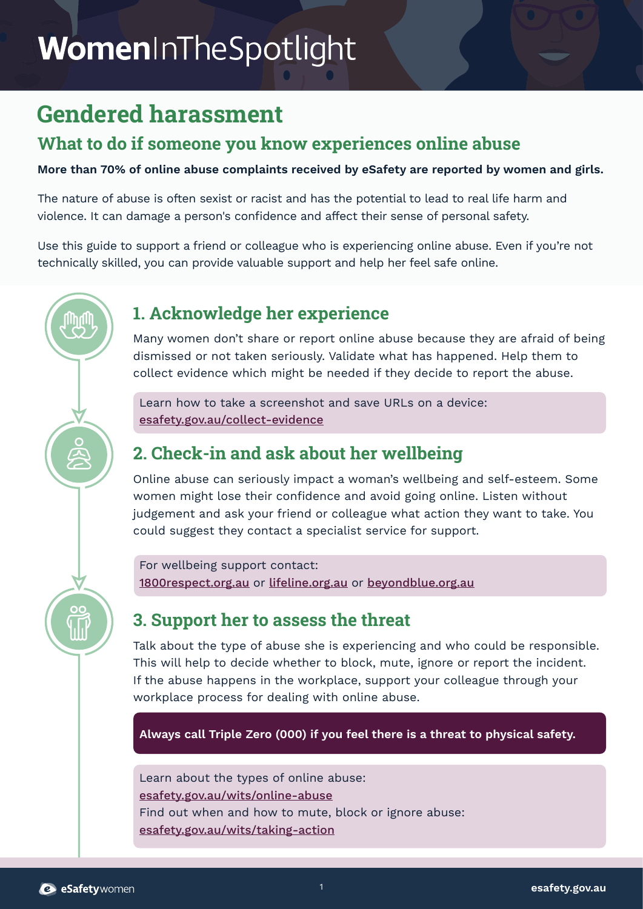# WomenInTheSpotlight

# **Gendered harassment**

### **What to do if someone you know experiences online abuse**

**More than 70% of online abuse complaints received by eSafety are reported by women and girls.**

The nature of abuse is often sexist or racist and has the potential to lead to real life harm and violence. It can damage a person's confidence and affect their sense of personal safety.

Use this guide to support a friend or colleague who is experiencing online abuse. Even if you're not technically skilled, you can provide valuable support and help her feel safe online.

### **1. Acknowledge her experience**

Many women don't share or report online abuse because they are afraid of being dismissed or not taken seriously. Validate what has happened. Help them to collect evidence which might be needed if they decide to report the abuse.

Learn how to take a screenshot and save URLs on a device: [esafety.gov.au/collect-evidence](http://esafety.gov.au/collect-evidence)

# **2. Check-in and ask about her wellbeing**

Online abuse can seriously impact a woman's wellbeing and self-esteem. Some women might lose their confidence and avoid going online. Listen without judgement and ask your friend or colleague what action they want to take. You could suggest they contact a specialist service for support.

For wellbeing support contact: [1800respect.org.au](http://1800respect.org.au) or [lifeline.org.au](http://lifeline.org.au) or [beyondblue.org.au](http://beyondblue.org.au)

### **3. Support her to assess the threat**

Talk about the type of abuse she is experiencing and who could be responsible. This will help to decide whether to block, mute, ignore or report the incident. If the abuse happens in the workplace, support your colleague through your workplace process for dealing with online abuse.

**Always call Triple Zero (000) if you feel there is a threat to physical safety.**

Learn about the types of online abuse: [esafety.gov.au/wits/online-abuse](http://esafety.gov.au/wits/online-abuse) Find out when and how to mute, block or ignore abuse: [esafety.gov.au/wits/taking-action](http://esafety.gov.au/wits/taking-action)

OC